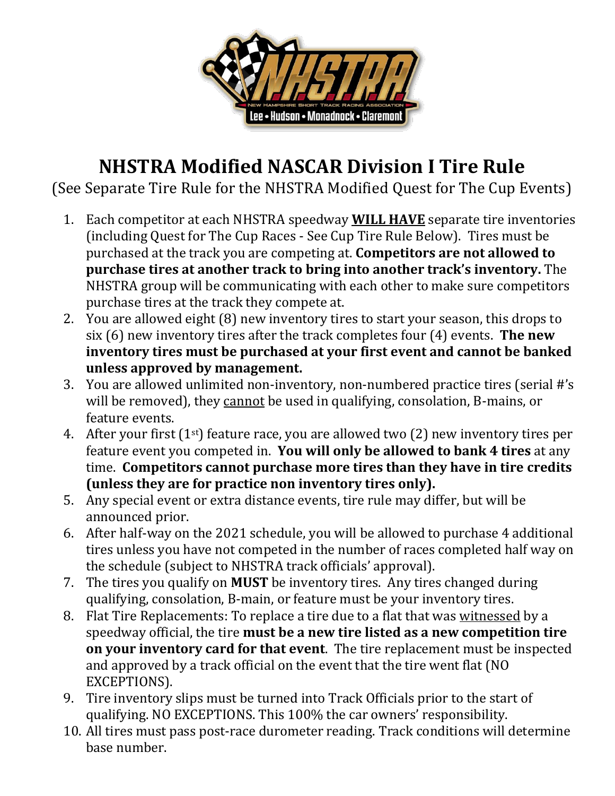

## **NHSTRA Modified NASCAR Division I Tire Rule**

(See Separate Tire Rule for the NHSTRA Modified Quest for The Cup Events)

- 1. Each competitor at each NHSTRA speedway **WILL HAVE** separate tire inventories (including Quest for The Cup Races - See Cup Tire Rule Below). Tires must be purchased at the track you are competing at. **Competitors are not allowed to purchase tires at another track to bring into another track's inventory.** The NHSTRA group will be communicating with each other to make sure competitors purchase tires at the track they compete at.
- 2. You are allowed eight (8) new inventory tires to start your season, this drops to six (6) new inventory tires after the track completes four (4) events. **The new inventory tires must be purchased at your first event and cannot be banked unless approved by management.**
- 3. You are allowed unlimited non-inventory, non-numbered practice tires (serial #'s will be removed), they cannot be used in qualifying, consolation, B-mains, or feature events.
- 4. After your first  $(1^{st})$  feature race, you are allowed two  $(2)$  new inventory tires per feature event you competed in. **You will only be allowed to bank 4 tires** at any time. **Competitors cannot purchase more tires than they have in tire credits (unless they are for practice non inventory tires only).**
- 5. Any special event or extra distance events, tire rule may differ, but will be announced prior.
- 6. After half-way on the 2021 schedule, you will be allowed to purchase 4 additional tires unless you have not competed in the number of races completed half way on the schedule (subject to NHSTRA track officials' approval).
- 7. The tires you qualify on **MUST** be inventory tires. Any tires changed during qualifying, consolation, B-main, or feature must be your inventory tires.
- 8. Flat Tire Replacements: To replace a tire due to a flat that was witnessed by a speedway official, the tire **must be a new tire listed as a new competition tire on your inventory card for that event**. The tire replacement must be inspected and approved by a track official on the event that the tire went flat (NO EXCEPTIONS).
- 9. Tire inventory slips must be turned into Track Officials prior to the start of qualifying. NO EXCEPTIONS. This 100% the car owners' responsibility.
- 10. All tires must pass post-race durometer reading. Track conditions will determine base number.